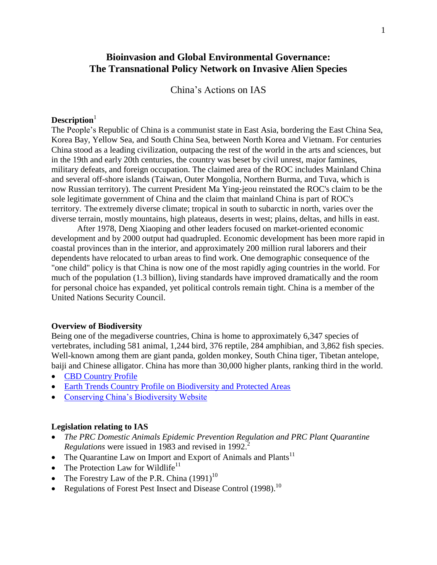# **Bioinvasion and Global Environmental Governance: The Transnational Policy Network on Invasive Alien Species**

China's Actions on IAS

### **Description**<sup>1</sup>

The People's Republic of China is a communist state in East Asia, bordering the East China Sea, Korea Bay, Yellow Sea, and South China Sea, between North Korea and Vietnam. For centuries China stood as a leading civilization, outpacing the rest of the world in the arts and sciences, but in the 19th and early 20th centuries, the country was beset by civil unrest, major famines, military defeats, and foreign occupation. The claimed area of the ROC includes Mainland China and several off-shore islands (Taiwan, Outer Mongolia, Northern Burma, and Tuva, which is now Russian territory). The current President Ma Ying-jeou reinstated the ROC's claim to be the sole legitimate government of China and the claim that mainland China is part of ROC's territory. The extremely diverse climate; tropical in south to subarctic in north, varies over the diverse terrain, mostly mountains, high plateaus, deserts in west; plains, deltas, and hills in east.

After 1978, Deng Xiaoping and other leaders focused on market-oriented economic development and by 2000 output had quadrupled. Economic development has been more rapid in coastal provinces than in the interior, and approximately 200 million rural laborers and their dependents have relocated to urban areas to find work. One demographic consequence of the "one child" policy is that China is now one of the most rapidly aging countries in the world. For much of the population (1.3 billion), living standards have improved dramatically and the room for personal choice has expanded, yet political controls remain tight. China is a member of the United Nations Security Council.

#### **Overview of Biodiversity**

Being one of the megadiverse countries, China is home to approximately 6,347 species of vertebrates, including 581 animal, 1,244 bird, 376 reptile, 284 amphibian, and 3,862 fish species. Well-known among them are giant panda, golden monkey, South China tiger, Tibetan antelope, baiji and Chinese alligator. China has more than 30,000 higher plants, ranking third in the world.

- [CBD Country Profile](http://www.cbd.int/countries/?country=cn)
- [Earth Trends Country Profile on Biodiversity and Protected Areas](http://earthtrends.wri.org/pdf_library/country_profiles/bio_cou_156.pdf)
- Conserving China's Biodiversity Website

#### **Legislation relating to IAS**

- *The PRC Domestic Animals Epidemic Prevention Regulation and PRC Plant Quarantine Regulations* were issued in 1983 and revised in 1992. 2
- The Quarantine Law on Import and Export of Animals and Plants<sup>11</sup>
- The Protection Law for Wildlife<sup>11</sup>
- The Forestry Law of the P.R. China  $(1991)^{10}$
- Regulations of Forest Pest Insect and Disease Control (1998).<sup>10</sup>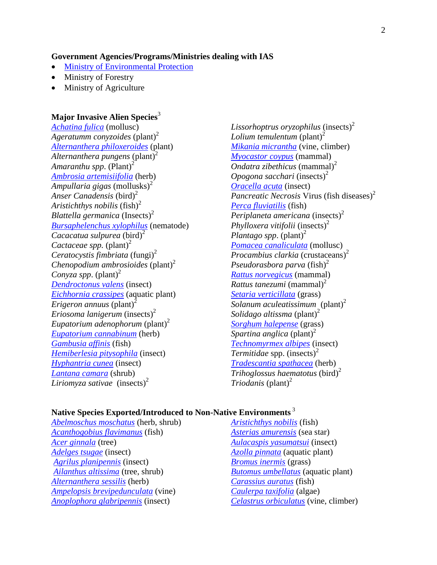#### **Government Agencies/Programs/Ministries dealing with IAS**

- [Ministry of Environmental Protection](http://english.mep.gov.cn/)
- Ministry of Forestry
- Ministry of Agriculture

### **Major Invasive Alien Species**<sup>3</sup>

*[Achatina fulica](http://www.issg.org/database/species/ecology.asp?si=64&fr=1&sts=sss&lang=EN)* (mollusc) Ageratumm conyzoides (plant)<sup>2</sup> *[Alternanthera philoxeroides](http://www.issg.org/database/species/ecology.asp?si=763&fr=1&sts=sss&lang=EN)* (plant) Alternanthera pungens (plant)<sup>2</sup> *Amaranthu spp.*  $(Plant)^2$ *[Ambrosia artemisiifolia](http://www.issg.org/database/species/ecology.asp?si=1125&fr=1&sts=sss&lang=EN)* (herb) Ampullaria gigas (mollusks)<sup>2</sup> Anser Canadensis (bird)<sup>2</sup> *Aristichthys nobilis* (fish)<sup>2</sup> *Blattella germanica* (Insects) 2 *[Bursaphelenchus xylophilus](http://www.issg.org/database/species/ecology.asp?si=769&fr=1&sts=sss&lang=EN)* (nematode) *Cacacatua sulpurea* (bird)<sup>2</sup> *Cactaceae spp.* (plant)<sup>2</sup> *Ceratocystis fimbriata* (fungi) 2 *Chenopodium ambrosioides* (plant)<sup>2</sup> *Conyza spp.*  $(\text{plant})^2$ *[Dendroctonus valens](http://www.issg.org/database/species/ecology.asp?si=1405&fr=1&sts=sss&lang=EN)* (insect) *[Eichhornia crassipes](http://www.issg.org/database/species/ecology.asp?si=70&fr=1&sts=sss&lang=EN)* (aquatic plant) *Erigeron annuus* (plant)<sup>2</sup> *Eriosoma lanigerum* (insects) 2 *Eupatorium adenophorum* (plant)<sup>2</sup> *[Eupatorium cannabinum](http://www.issg.org/database/species/ecology.asp?si=802&fr=1&sts=sss&lang=EN)* (herb) *[Gambusia affinis](http://www.issg.org/database/species/ecology.asp?si=126&fr=1&sts=sss&lang=EN)* (fish) *[Hemiberlesia pitysophila](http://www.issg.org/database/species/ecology.asp?si=1202&fr=1&sts=sss&lang=EN)* (insect) *[Hyphantria cunea](http://www.issg.org/database/species/ecology.asp?si=1201&fr=1&sts=sss&lang=EN)* (insect) *[Lantana camara](http://www.issg.org/database/species/ecology.asp?si=56&fr=1&sts=sss&lang=EN)* (shrub) *Liriomyza sativae* (insects) 2

*Lissorhoptrus oryzophilus* (insects) 2 *Lolium temulentum* (plant)<sup>2</sup> *[Mikania micrantha](http://www.issg.org/database/species/ecology.asp?si=42&fr=1&sts=sss&lang=EN)* (vine, climber) *[Myocastor coypus](http://www.issg.org/database/species/ecology.asp?si=99&fr=1&sts=sss&lang=EN)* (mammal) *Ondatra zibethicus* (mammal) 2 *Opogona sacchari* (insects) 2 *[Oracella acuta](http://www.issg.org/database/species/ecology.asp?si=1203&fr=1&sts=sss&lang=EN)* (insect) *Pancreatic Necrosis* Virus (fish diseases) 2 *[Perca fluviatilis](http://www.issg.org/database/species/ecology.asp?si=548&fr=1&sts=sss&lang=EN)* (fish) *Periplaneta americana* (insects) 2 *Phylloxera vitifolii* (insects) 2 *Plantago spp.*  $(\text{plant})^2$ *[Pomacea canaliculata](http://www.issg.org/database/species/ecology.asp?si=135&fr=1&sts=sss&lang=EN)* (mollusc) *Procambius clarkia* (crustaceans) 2 *Pseudorasbora parva* (fish)<sup>2</sup> *[Rattus norvegicus](http://www.issg.org/database/species/ecology.asp?si=159&fr=1&sts=sss&lang=EN)* (mammal) *Rattus tanezumi* (mammal) 2 *[Setaria verticillata](http://www.issg.org/database/species/ecology.asp?si=927&fr=1&sts=sss&lang=EN)* (grass) *Solanum aculeatissimum* (plant)<sup>2</sup> *Solidago altissma* (plant)<sup>2</sup> *[Sorghum halepense](http://www.issg.org/database/species/ecology.asp?si=213&fr=1&sts=sss&lang=EN)* (grass) *Spartina anglica* (plant)<sup>2</sup> *[Technomyrmex albipes](http://www.issg.org/database/species/ecology.asp?si=1061&fr=1&sts=sss&lang=EN)* (insect) *Termitidae* spp. (insects) 2 *[Tradescantia spathacea](http://www.issg.org/database/species/ecology.asp?si=493&fr=1&sts=sss&lang=EN)* (herb) *Trihoglossus haematotus* (bird)<sup>2</sup> *Triodanis* (plant)<sup>2</sup>

### **Native Species Exported/Introduced to Non-Native Environments** <sup>3</sup>

*[Abelmoschus moschatus](http://www.issg.org/database/species/ecology.asp?si=15&fr=1&sts=sss&lang=EN)* (herb, shrub) *[Acanthogobius flavimanus](http://www.issg.org/database/species/ecology.asp?si=947&fr=1&sts=sss&lang=EN)* (fish) *[Acer ginnala](http://www.issg.org/database/species/ecology.asp?si=1134&fr=1&sts=sss&lang=EN)* (tree) *[Adelges tsugae](http://www.issg.org/database/species/ecology.asp?si=230&fr=1&sts=sss&lang=EN)* (insect) *[Agrilus planipennis](http://www.issg.org/database/species/ecology.asp?si=722&fr=1&sts=sss&lang=EN)* (insect) *[Ailanthus altissima](http://www.issg.org/database/species/ecology.asp?si=319&fr=1&sts=sss&lang=EN)* (tree, shrub) *[Alternanthera sessilis](http://www.issg.org/database/species/ecology.asp?si=767&fr=1&sts=sss&lang=EN)* (herb) *[Ampelopsis brevipedunculata](http://www.issg.org/database/species/ecology.asp?si=292&fr=1&sts=sss&lang=EN)* (vine) *[Anoplophora glabripennis](http://www.issg.org/database/species/ecology.asp?si=111&fr=1&sts=sss&lang=EN)* (insect)

*[Aristichthys nobilis](http://www.issg.org/database/species/ecology.asp?si=773&fr=1&sts=sss&lang=EN)* (fish) *[Asterias amurensis](http://www.issg.org/database/species/ecology.asp?si=82&fr=1&sts=sss&lang=EN)* (sea star) *[Aulacaspis yasumatsui](http://www.issg.org/database/species/ecology.asp?si=814&fr=1&sts=sss&lang=EN)* (insect) *[Azolla pinnata](http://www.issg.org/database/species/ecology.asp?si=204&fr=1&sts=sss&lang=EN)* (aquatic plant) *[Bromus inermis](http://www.issg.org/database/species/ecology.asp?si=1223&fr=1&sts=sss&lang=EN)* (grass) *[Butomus umbellatus](http://www.issg.org/database/species/ecology.asp?si=610&fr=1&sts=sss&lang=EN)* (aquatic plant) *[Carassius auratus](http://www.issg.org/database/species/ecology.asp?si=368&fr=1&sts=sss&lang=EN)* (fish) *[Caulerpa taxifolia](http://www.issg.org/database/species/ecology.asp?si=115&fr=1&sts=sss&lang=EN)* (algae) *[Celastrus orbiculatus](http://www.issg.org/database/species/ecology.asp?si=156&fr=1&sts=sss&lang=EN)* (vine, climber)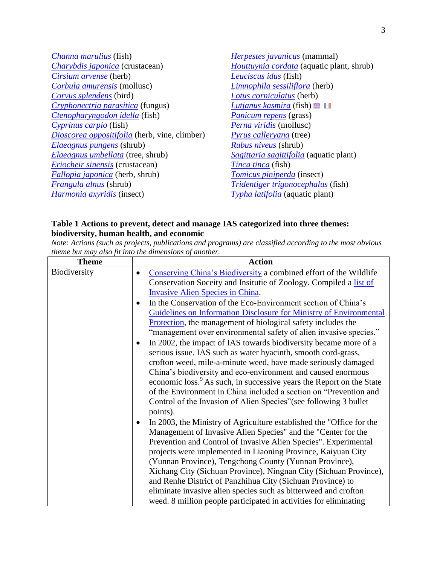*[Channa marulius](http://www.issg.org/database/species/ecology.asp?si=520&fr=1&sts=sss&lang=EN)* (fish) *[Charybdis japonica](http://www.issg.org/database/species/ecology.asp?si=1044&fr=1&sts=sss&lang=EN)* (crustacean) *[Cirsium arvense](http://www.issg.org/database/species/ecology.asp?si=413&fr=1&sts=sss&lang=EN)* (herb) *[Corbula amurensis](http://www.issg.org/database/species/ecology.asp?si=136&fr=1&sts=sss&lang=EN)* (mollusc) *[Corvus splendens](http://www.issg.org/database/species/ecology.asp?si=1199&fr=1&sts=sss&lang=EN)* (bird) *[Cryphonectria parasitica](http://www.issg.org/database/species/ecology.asp?si=124&fr=1&sts=sss&lang=EN)* (fungus) *[Ctenopharyngodon idella](http://www.issg.org/database/species/ecology.asp?si=369&fr=1&sts=sss&lang=EN)* (fish) *[Cyprinus carpio](http://www.issg.org/database/species/ecology.asp?si=60&fr=1&sts=sss&lang=EN)* (fish) *[Dioscorea oppositifolia](http://www.issg.org/database/species/ecology.asp?si=296&fr=1&sts=sss&lang=EN)* (herb, vine, climber) *[Elaeagnus pungens](http://www.issg.org/database/species/ecology.asp?si=273&fr=1&sts=sss&lang=EN)* (shrub) *[Elaeagnus umbellata](http://www.issg.org/database/species/ecology.asp?si=262&fr=1&sts=sss&lang=EN)* (tree, shrub) *[Eriocheir sinensis](http://www.issg.org/database/species/ecology.asp?si=38&fr=1&sts=sss&lang=EN)* (crustacean) *[Fallopia japonica](http://www.issg.org/database/species/ecology.asp?si=91&fr=1&sts=sss&lang=EN)* (herb, shrub) *[Frangula alnus](http://www.issg.org/database/species/ecology.asp?si=810&fr=1&sts=sss&lang=EN)* (shrub) *[Harmonia axyridis](http://www.issg.org/database/species/ecology.asp?si=668&fr=1&sts=sss&lang=EN)* (insect)

*[Herpestes javanicus](http://www.issg.org/database/species/ecology.asp?si=86&fr=1&sts=sss&lang=EN)* (mammal) *[Houttuynia cordata](http://www.issg.org/database/species/ecology.asp?si=854&fr=1&sts=sss&lang=EN)* (aquatic plant, shrub) *[Leuciscus idus](http://www.issg.org/database/species/ecology.asp?si=613&fr=1&sts=sss&lang=EN)* (fish) *[Limnophila sessiliflora](http://www.issg.org/database/species/ecology.asp?si=602&fr=1&sts=sss&lang=EN)* (herb) *[Lotus corniculatus](http://www.issg.org/database/species/ecology.asp?si=1034&fr=1&sts=sss&lang=EN)* (herb) *[Lutjanus kasmira](http://www.issg.org/database/species/ecology.asp?si=1094&fr=1&sts=sss&lang=EN)* (fish) *[Panicum repens](http://www.issg.org/database/species/ecology.asp?si=777&fr=1&sts=sss&lang=EN)* (grass) *[Perna viridis](http://www.issg.org/database/species/ecology.asp?si=731&fr=1&sts=sss&lang=EN)* (mollusc) *[Pyrus calleryana](http://www.issg.org/database/species/ecology.asp?si=1389&fr=1&sts=sss&lang=EN)* (tree) *[Rubus niveus](http://www.issg.org/database/species/ecology.asp?si=1232&fr=1&sts=sss&lang=EN)* (shrub) *[Sagittaria sagittifolia](http://www.issg.org/database/species/ecology.asp?si=858&fr=1&sts=sss&lang=EN)* (aquatic plant) *[Tinca tinca](http://www.issg.org/database/species/ecology.asp?si=618&fr=1&sts=sss&lang=EN)* (fish) *[Tomicus piniperda](http://www.issg.org/database/species/ecology.asp?si=1200&fr=1&sts=sss&lang=EN)* (insect) *[Tridentiger trigonocephalus](http://www.issg.org/database/species/ecology.asp?si=1079&fr=1&sts=sss&lang=EN)* (fish) *[Typha latifolia](http://www.issg.org/database/species/ecology.asp?si=895&fr=1&sts=sss&lang=EN)* (aquatic plant)

### **Table 1 Actions to prevent, detect and manage IAS categorized into three themes: biodiversity, human health, and economic**

*Note: Actions (such as projects, publications and programs) are classified according to the most obvious theme but may also fit into the dimensions of another.*

| <b>Theme</b> | <b>Action</b>                                                                                                                                                                                                                                                                              |  |  |
|--------------|--------------------------------------------------------------------------------------------------------------------------------------------------------------------------------------------------------------------------------------------------------------------------------------------|--|--|
| Biodiversity | Conserving China's Biodiversity a combined effort of the Wildlife<br>$\bullet$<br>Conservation Soceity and Insitutie of Zoology. Compiled a list of                                                                                                                                        |  |  |
|              | <b>Invasive Alien Species in China.</b>                                                                                                                                                                                                                                                    |  |  |
|              | In the Conservation of the Eco-Environment section of China's                                                                                                                                                                                                                              |  |  |
|              | Guidelines on Information Disclosure for Ministry of Environmental                                                                                                                                                                                                                         |  |  |
|              | <b>Protection</b> , the management of biological safety includes the<br>"management over environmental safety of alien invasive species."                                                                                                                                                  |  |  |
|              | In 2002, the impact of IAS towards biodiversity became more of a<br>$\bullet$<br>serious issue. IAS such as water hyacinth, smooth cord-grass,<br>crofton weed, mile-a-minute weed, have made seriously damaged                                                                            |  |  |
|              | China's biodiversity and eco-environment and caused enormous<br>economic loss. <sup>9</sup> As such, in successive years the Report on the State<br>of the Environment in China included a section on "Prevention and<br>Control of the Invasion of Alien Species" (see following 3 bullet |  |  |
|              | points).                                                                                                                                                                                                                                                                                   |  |  |
|              | In 2003, the Ministry of Agriculture established the "Office for the<br>$\bullet$                                                                                                                                                                                                          |  |  |
|              | Management of Invasive Alien Species" and the "Center for the<br>Prevention and Control of Invasive Alien Species". Experimental                                                                                                                                                           |  |  |
|              | projects were implemented in Liaoning Province, Kaiyuan City                                                                                                                                                                                                                               |  |  |
|              | (Yunnan Province), Tengchong County (Yunnan Province),                                                                                                                                                                                                                                     |  |  |
|              | Xichang City (Sichuan Province), Ningnan City (Sichuan Province),                                                                                                                                                                                                                          |  |  |
|              | and Renhe District of Panzhihua City (Sichuan Province) to                                                                                                                                                                                                                                 |  |  |
|              | eliminate invasive alien species such as bitterweed and crofton                                                                                                                                                                                                                            |  |  |
|              | weed. 8 million people participated in activities for eliminating                                                                                                                                                                                                                          |  |  |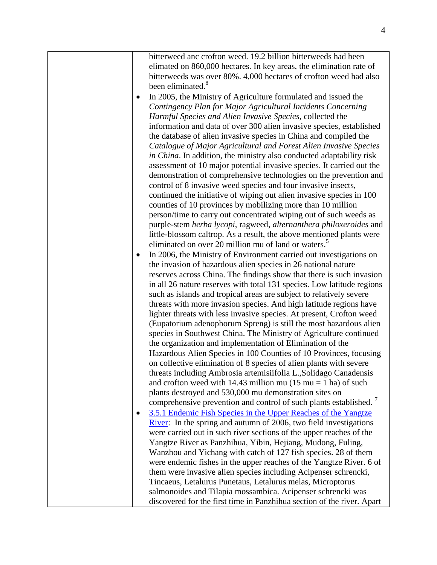bitterweed anc crofton weed. 19.2 billion bitterweeds had been elimated on 860,000 hectares. In key areas, the elimination rate of bitterweeds was over 80%. 4,000 hectares of crofton weed had also been eliminated.<sup>8</sup>

- In 2005, the Ministry of Agriculture formulated and issued the *Contingency Plan for Major Agricultural Incidents Concerning Harmful Species and Alien Invasive Species*, collected the information and data of over 300 alien invasive species, established the database of alien invasive species in China and compiled the *Catalogue of Major Agricultural and Forest Alien Invasive Species in China*. In addition, the ministry also conducted adaptability risk assessment of 10 major potential invasive species. It carried out the demonstration of comprehensive technologies on the prevention and control of 8 invasive weed species and four invasive insects, continued the initiative of wiping out alien invasive species in 100 counties of 10 provinces by mobilizing more than 10 million person/time to carry out concentrated wiping out of such weeds as purple-stem *herba lycopi*, ragweed, *alternanthera philoxeroides* and little-blossom caltrop. As a result, the above mentioned plants were eliminated on over 20 million mu of land or waters.<sup>5</sup>
- In 2006, the Ministry of Environment carried out investigations on the invasion of hazardous alien species in 26 national nature reserves across China. The findings show that there is such invasion in all 26 nature reserves with total 131 species. Low latitude regions such as islands and tropical areas are subject to relatively severe threats with more invasion species. And high latitude regions have lighter threats with less invasive species. At present, Crofton weed (Eupatorium adenophorum Spreng) is still the most hazardous alien species in Southwest China. The Ministry of Agriculture continued the organization and implementation of Elimination of the Hazardous Alien Species in 100 Counties of 10 Provinces, focusing on collective elimination of 8 species of alien plants with severe threats including Ambrosia artemisiifolia L.,Solidago Canadensis and crofton weed with 14.43 million mu  $(15 \text{ mu} = 1 \text{ ha})$  of such plants destroyed and 530,000 mu demonstration sites on comprehensive prevention and control of such plants established.<sup>7</sup>
- 3.5.1 Endemic Fish Species in the Upper Reaches of the Yangtze [River:](http://english.mep.gov.cn/standards_reports/threegorgesbulletin/Bulletin_2007/200802/t20080218_118242.htm)In the spring and autumn of 2006, two field investigations were carried out in such river sections of the upper reaches of the Yangtze River as Panzhihua, Yibin, Hejiang, Mudong, Fuling, Wanzhou and Yichang with catch of 127 fish species. 28 of them were endemic fishes in the upper reaches of the Yangtze River. 6 of them were invasive alien species including Acipenser schrencki, Tincaeus, Letalurus Punetaus, Letalurus melas, Microptorus salmonoides and Tilapia mossambica. Acipenser schrencki was discovered for the first time in Panzhihua section of the river. Apart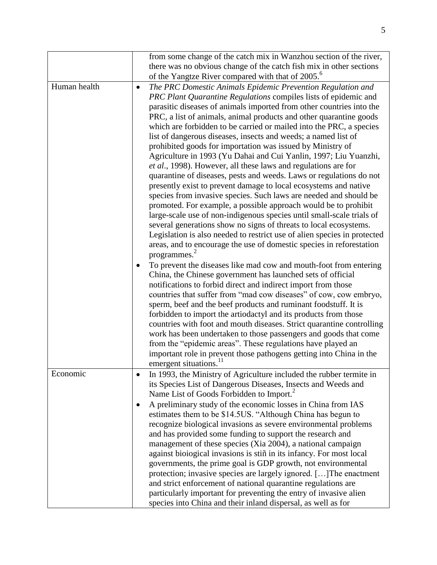|              |           | from some change of the catch mix in Wanzhou section of the river,                                                                       |
|--------------|-----------|------------------------------------------------------------------------------------------------------------------------------------------|
|              |           | there was no obvious change of the catch fish mix in other sections                                                                      |
|              |           | of the Yangtze River compared with that of 2005. <sup>6</sup>                                                                            |
| Human health | $\bullet$ | The PRC Domestic Animals Epidemic Prevention Regulation and                                                                              |
|              |           | PRC Plant Quarantine Regulations compiles lists of epidemic and                                                                          |
|              |           | parasitic diseases of animals imported from other countries into the                                                                     |
|              |           | PRC, a list of animals, animal products and other quarantine goods                                                                       |
|              |           | which are forbidden to be carried or mailed into the PRC, a species                                                                      |
|              |           | list of dangerous diseases, insects and weeds; a named list of                                                                           |
|              |           | prohibited goods for importation was issued by Ministry of<br>Agriculture in 1993 (Yu Dahai and Cui Yanlin, 1997; Liu Yuanzhi,           |
|              |           | et al., 1998). However, all these laws and regulations are for                                                                           |
|              |           | quarantine of diseases, pests and weeds. Laws or regulations do not                                                                      |
|              |           | presently exist to prevent damage to local ecosystems and native                                                                         |
|              |           | species from invasive species. Such laws are needed and should be                                                                        |
|              |           | promoted. For example, a possible approach would be to prohibit                                                                          |
|              |           | large-scale use of non-indigenous species until small-scale trials of                                                                    |
|              |           | several generations show no signs of threats to local ecosystems.                                                                        |
|              |           | Legislation is also needed to restrict use of alien species in protected                                                                 |
|              |           | areas, and to encourage the use of domestic species in reforestation                                                                     |
|              |           | programmes. $\frac{2}{x}$                                                                                                                |
|              |           | To prevent the diseases like mad cow and mouth-foot from entering                                                                        |
|              |           | China, the Chinese government has launched sets of official                                                                              |
|              |           | notifications to forbid direct and indirect import from those                                                                            |
|              |           | countries that suffer from "mad cow diseases" of cow, cow embryo,                                                                        |
|              |           | sperm, beef and the beef products and ruminant foodstuff. It is                                                                          |
|              |           | forbidden to import the artiodactyl and its products from those<br>countries with foot and mouth diseases. Strict quarantine controlling |
|              |           | work has been undertaken to those passengers and goods that come                                                                         |
|              |           | from the "epidemic areas". These regulations have played an                                                                              |
|              |           | important role in prevent those pathogens getting into China in the                                                                      |
|              |           | emergent situations. <sup>11</sup>                                                                                                       |
| Economic     |           | In 1993, the Ministry of Agriculture included the rubber termite in                                                                      |
|              |           | its Species List of Dangerous Diseases, Insects and Weeds and                                                                            |
|              |           | Name List of Goods Forbidden to Import. <sup>2</sup>                                                                                     |
|              |           | A preliminary study of the economic losses in China from IAS                                                                             |
|              |           | estimates them to be \$14.5US. "Although China has begun to                                                                              |
|              |           | recognize biological invasions as severe environmental problems                                                                          |
|              |           | and has provided some funding to support the research and                                                                                |
|              |           | management of these species (Xia 2004), a national campaign                                                                              |
|              |           | against biological invasions is stiñ in its infancy. For most local                                                                      |
|              |           | governments, the prime goal is GDP growth, not environmental                                                                             |
|              |           | protection; invasive species are largely ignored. [] The enactment                                                                       |
|              |           | and strict enforcement of national quarantine regulations are                                                                            |
|              |           | particularly important for preventing the entry of invasive alien                                                                        |
|              |           | species into China and their inland dispersal, as well as for                                                                            |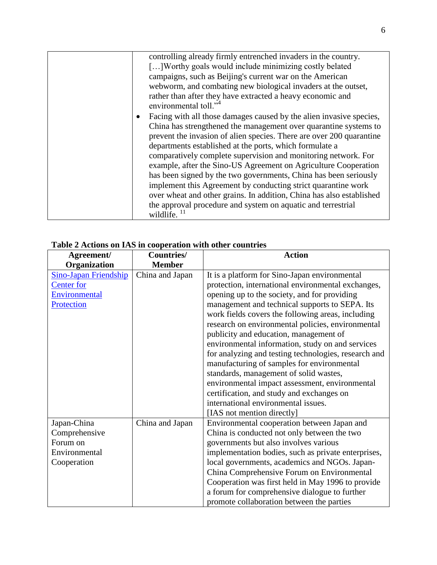| controlling already firmly entrenched invaders in the country.                                                                                                                                      |
|-----------------------------------------------------------------------------------------------------------------------------------------------------------------------------------------------------|
| [] Worthy goals would include minimizing costly belated                                                                                                                                             |
| campaigns, such as Beijing's current war on the American                                                                                                                                            |
| webworm, and combating new biological invaders at the outset,                                                                                                                                       |
| rather than after they have extracted a heavy economic and<br>environmental toll." <sup>4</sup>                                                                                                     |
| Facing with all those damages caused by the alien invasive species,<br>$\bullet$                                                                                                                    |
| China has strengthened the management over quarantine systems to<br>prevent the invasion of alien species. There are over 200 quarantine<br>departments established at the ports, which formulate a |
| comparatively complete supervision and monitoring network. For<br>example, after the Sino-US Agreement on Agriculture Cooperation                                                                   |
| has been signed by the two governments, China has been seriously<br>implement this Agreement by conducting strict quarantine work                                                                   |
| over wheat and other grains. In addition, China has also established                                                                                                                                |
| the approval procedure and system on aquatic and terrestrial<br>wildlife. $^{11}$                                                                                                                   |

| Agreement/            | <b>Countries/</b> | <b>Action</b>                                        |
|-----------------------|-------------------|------------------------------------------------------|
| Organization          | <b>Member</b>     |                                                      |
| Sino-Japan Friendship | China and Japan   | It is a platform for Sino-Japan environmental        |
| <b>Center</b> for     |                   | protection, international environmental exchanges,   |
| Environmental         |                   | opening up to the society, and for providing         |
| Protection            |                   | management and technical supports to SEPA. Its       |
|                       |                   | work fields covers the following areas, including    |
|                       |                   | research on environmental policies, environmental    |
|                       |                   | publicity and education, management of               |
|                       |                   | environmental information, study on and services     |
|                       |                   | for analyzing and testing technologies, research and |
|                       |                   | manufacturing of samples for environmental           |
|                       |                   | standards, management of solid wastes,               |
|                       |                   | environmental impact assessment, environmental       |
|                       |                   | certification, and study and exchanges on            |
|                       |                   | international environmental issues.                  |
|                       |                   | [IAS not mention directly]                           |
| Japan-China           | China and Japan   | Environmental cooperation between Japan and          |
| Comprehensive         |                   | China is conducted not only between the two          |
| Forum on              |                   | governments but also involves various                |
| Environmental         |                   | implementation bodies, such as private enterprises,  |
| Cooperation           |                   | local governments, academics and NGOs. Japan-        |
|                       |                   | China Comprehensive Forum on Environmental           |
|                       |                   | Cooperation was first held in May 1996 to provide    |
|                       |                   | a forum for comprehensive dialogue to further        |
|                       |                   | promote collaboration between the parties            |

# **Table 2 Actions on IAS in cooperation with other countries**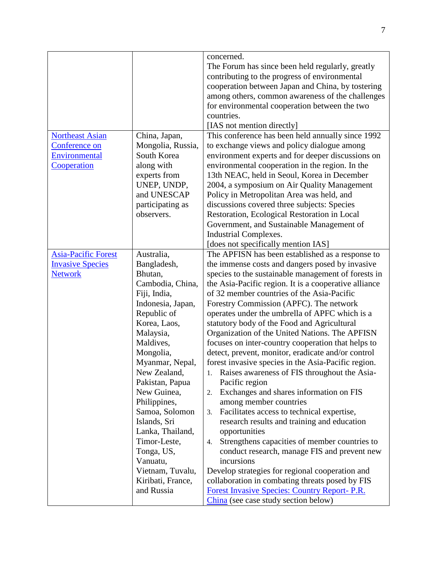|                            |                   | concerned.                                                                                         |
|----------------------------|-------------------|----------------------------------------------------------------------------------------------------|
|                            |                   | The Forum has since been held regularly, greatly                                                   |
|                            |                   | contributing to the progress of environmental                                                      |
|                            |                   | cooperation between Japan and China, by tostering                                                  |
|                            |                   | among others, common awareness of the challenges                                                   |
|                            |                   | for environmental cooperation between the two                                                      |
|                            |                   | countries.                                                                                         |
|                            |                   | [IAS not mention directly]                                                                         |
| <b>Northeast Asian</b>     | China, Japan,     | This conference has been held annually since 1992                                                  |
| Conference on              | Mongolia, Russia, | to exchange views and policy dialogue among                                                        |
| Environmental              | South Korea       | environment experts and for deeper discussions on                                                  |
| Cooperation                | along with        | environmental cooperation in the region. In the                                                    |
|                            | experts from      | 13th NEAC, held in Seoul, Korea in December                                                        |
|                            | UNEP, UNDP,       | 2004, a symposium on Air Quality Management                                                        |
|                            | and UNESCAP       | Policy in Metropolitan Area was held, and                                                          |
|                            | participating as  | discussions covered three subjects: Species                                                        |
|                            |                   |                                                                                                    |
|                            | observers.        | Restoration, Ecological Restoration in Local                                                       |
|                            |                   | Government, and Sustainable Management of                                                          |
|                            |                   | <b>Industrial Complexes.</b>                                                                       |
|                            |                   | [does not specifically mention IAS]                                                                |
| <b>Asia-Pacific Forest</b> | Australia,        | The APFISN has been established as a response to                                                   |
| <b>Invasive Species</b>    | Bangladesh,       | the immense costs and dangers posed by invasive                                                    |
| <b>Network</b>             | Bhutan,           | species to the sustainable management of forests in                                                |
|                            | Cambodia, China,  | the Asia-Pacific region. It is a cooperative alliance                                              |
|                            | Fiji, India,      | of 32 member countries of the Asia-Pacific                                                         |
|                            | Indonesia, Japan, | Forestry Commission (APFC). The network                                                            |
|                            | Republic of       | operates under the umbrella of APFC which is a                                                     |
|                            | Korea, Laos,      | statutory body of the Food and Agricultural                                                        |
|                            | Malaysia,         | Organization of the United Nations. The APFISN                                                     |
|                            | Maldives,         | focuses on inter-country cooperation that helps to                                                 |
|                            | Mongolia,         | detect, prevent, monitor, eradicate and/or control                                                 |
|                            | Myanmar, Nepal,   | forest invasive species in the Asia-Pacific region.                                                |
|                            | New Zealand,      | Raises awareness of FIS throughout the Asia-<br>1.                                                 |
|                            | Pakistan, Papua   | Pacific region                                                                                     |
|                            | New Guinea,       | Exchanges and shares information on FIS<br>2.                                                      |
|                            | Philippines,      | among member countries                                                                             |
|                            | Samoa, Solomon    | Facilitates access to technical expertise,<br>3.                                                   |
|                            | Islands, Sri      | research results and training and education                                                        |
|                            | Lanka, Thailand,  | opportunities                                                                                      |
|                            | Timor-Leste,      | Strengthens capacities of member countries to<br>4.                                                |
|                            | Tonga, US,        | conduct research, manage FIS and prevent new                                                       |
|                            | Vanuatu,          | incursions                                                                                         |
|                            | Vietnam, Tuvalu,  |                                                                                                    |
|                            |                   | Develop strategies for regional cooperation and<br>collaboration in combating threats posed by FIS |
|                            | Kiribati, France, |                                                                                                    |
|                            | and Russia        | Forest Invasive Species: Country Report- P.R.                                                      |
|                            |                   | China (see case study section below)                                                               |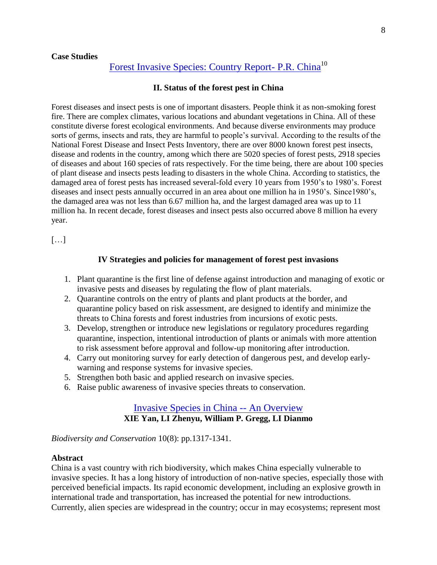### **Case Studies**

# [Forest Invasive Species: Country Report-](http://apfisn.net/country_report/China.pdf) P.R. China<sup>10</sup>

### **II. Status of the forest pest in China**

Forest diseases and insect pests is one of important disasters. People think it as non-smoking forest fire. There are complex climates, various locations and abundant vegetations in China. All of these constitute diverse forest ecological environments. And because diverse environments may produce sorts of germs, insects and rats, they are harmful to people's survival. According to the results of the National Forest Disease and Insect Pests Inventory, there are over 8000 known forest pest insects, disease and rodents in the country, among which there are 5020 species of forest pests, 2918 species of diseases and about 160 species of rats respectively. For the time being, there are about 100 species of plant disease and insects pests leading to disasters in the whole China. According to statistics, the damaged area of forest pests has increased several-fold every 10 years from 1950's to 1980's. Forest diseases and insect pests annually occurred in an area about one million ha in 1950's. Since1980's, the damaged area was not less than 6.67 million ha, and the largest damaged area was up to 11 million ha. In recent decade, forest diseases and insect pests also occurred above 8 million ha every year.

 $[...]$ 

### **IV Strategies and policies for management of forest pest invasions**

- 1. Plant quarantine is the first line of defense against introduction and managing of exotic or invasive pests and diseases by regulating the flow of plant materials.
- 2. Quarantine controls on the entry of plants and plant products at the border, and quarantine policy based on risk assessment, are designed to identify and minimize the threats to China forests and forest industries from incursions of exotic pests.
- 3. Develop, strengthen or introduce new legislations or regulatory procedures regarding quarantine, inspection, intentional introduction of plants or animals with more attention to risk assessment before approval and follow-up monitoring after introduction.
- 4. Carry out monitoring survey for early detection of dangerous pest, and develop earlywarning and response systems for invasive species.
- 5. Strengthen both basic and applied research on invasive species.
- 6. Raise public awareness of invasive species threats to conservation.

## [Invasive Species in China --](http://www.chinabiodiversity.com/shwdyx/technical-report-e/x-1e.htm) An Overview **XIE Yan, LI Zhenyu, William P. Gregg, LI Dianmo**

*Biodiversity and Conservation* 10(8): pp.1317-1341.

### **Abstract**

China is a vast country with rich biodiversity, which makes China especially vulnerable to invasive species. It has a long history of introduction of non-native species, especially those with perceived beneficial impacts. Its rapid economic development, including an explosive growth in international trade and transportation, has increased the potential for new introductions. Currently, alien species are widespread in the country; occur in may ecosystems; represent most